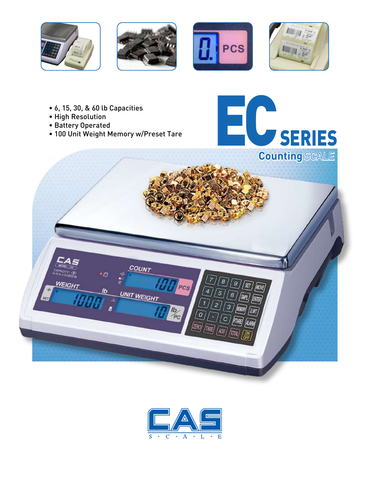







- 6, 15, 30, & 60 lb Capacities
- High Resolution
- Battery Operated
- 100 Unit Weight Memory w/Preset Tare